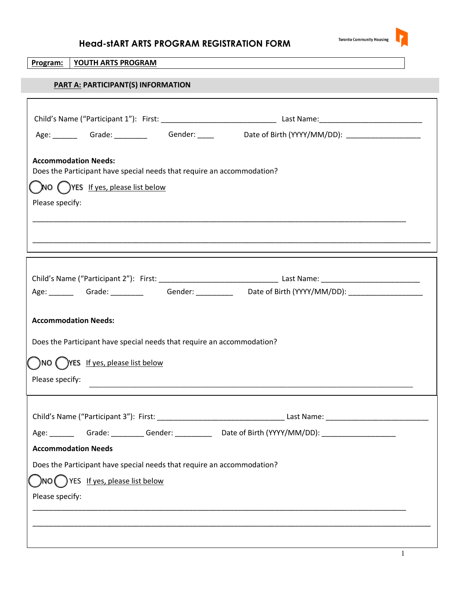

| YOUTH ARTS PROGRAM<br>Program:                                                                             |  |  |  |  |  |  |
|------------------------------------------------------------------------------------------------------------|--|--|--|--|--|--|
| PART A: PARTICIPANT(S) INFORMATION                                                                         |  |  |  |  |  |  |
|                                                                                                            |  |  |  |  |  |  |
| Age: ________ Grade: __________  Gender: _____    Date of Birth (YYYY/MM/DD): _____________________        |  |  |  |  |  |  |
| <b>Accommodation Needs:</b><br>Does the Participant have special needs that require an accommodation?      |  |  |  |  |  |  |
| $\bigcirc$ NO $\bigcirc$ YES If yes, please list below                                                     |  |  |  |  |  |  |
| Please specify:                                                                                            |  |  |  |  |  |  |
|                                                                                                            |  |  |  |  |  |  |
|                                                                                                            |  |  |  |  |  |  |
| Age: _________ Grade: ___________  Gender: ___________  Date of Birth (YYYY/MM/DD): ______________________ |  |  |  |  |  |  |
|                                                                                                            |  |  |  |  |  |  |
| <b>Accommodation Needs:</b>                                                                                |  |  |  |  |  |  |
| Does the Participant have special needs that require an accommodation?                                     |  |  |  |  |  |  |
| ()NO ()YES If yes, please list below                                                                       |  |  |  |  |  |  |
| Please specify:                                                                                            |  |  |  |  |  |  |
|                                                                                                            |  |  |  |  |  |  |
| Age: _________ Grade: __________Gender: _______________Date of Birth (YYYY/MM/DD): _______________________ |  |  |  |  |  |  |
| <b>Accommodation Needs</b>                                                                                 |  |  |  |  |  |  |
| Does the Participant have special needs that require an accommodation?                                     |  |  |  |  |  |  |
| $N$ O $($ $)$ YES If yes, please list below                                                                |  |  |  |  |  |  |
| Please specify:                                                                                            |  |  |  |  |  |  |
|                                                                                                            |  |  |  |  |  |  |
|                                                                                                            |  |  |  |  |  |  |
|                                                                                                            |  |  |  |  |  |  |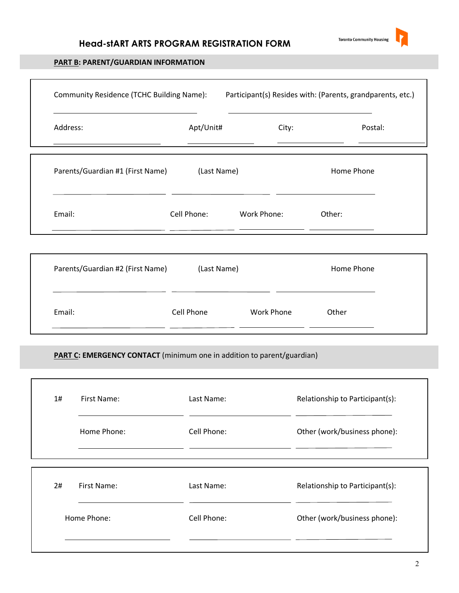

#### **PART B: PARENT/GUARDIAN INFORMATION**

| Community Residence (TCHC Building Name): Participant(s) Resides with: (Parents, grandparents, etc.) |                         |       |            |
|------------------------------------------------------------------------------------------------------|-------------------------|-------|------------|
| Address:                                                                                             | Apt/Unit#               | City: | Postal:    |
| Parents/Guardian #1 (First Name) (Last Name)                                                         |                         |       | Home Phone |
| Email:                                                                                               | Cell Phone: Work Phone: |       | Other:     |
| Parents/Guardian #2 (First Name)                                                                     | (Last Name)             |       | Home Phone |
|                                                                                                      |                         |       | Other      |

#### **PART C: EMERGENCY CONTACT** (minimum one in addition to parent/guardian)

| 1# | First Name: | Last Name:  | Relationship to Participant(s): |
|----|-------------|-------------|---------------------------------|
|    | Home Phone: | Cell Phone: | Other (work/business phone):    |
|    |             |             |                                 |
| 2# | First Name: | Last Name:  | Relationship to Participant(s): |
|    | Home Phone: | Cell Phone: | Other (work/business phone):    |
|    |             |             |                                 |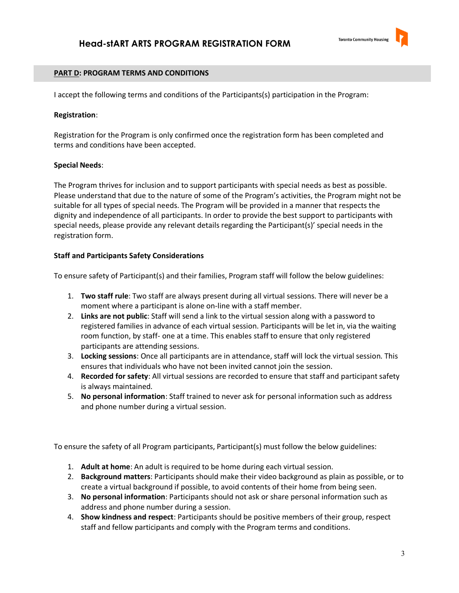

#### **PART D: PROGRAM TERMS AND CONDITIONS**

I accept the following terms and conditions of the Participants(s) participation in the Program:

#### **Registration**:

 Registration for the Program is only confirmed once the registration form has been completed and terms and conditions have been accepted.

#### **Special Needs**:

 The Program thrives for inclusion and to support participants with special needs as best as possible. Please understand that due to the nature of some of the Program's activities, the Program might not be suitable for all types of special needs. The Program will be provided in a manner that respects the dignity and independence of all participants. In order to provide the best support to participants with special needs, please provide any relevant details regarding the Participant(s)' special needs in the registration form.

#### **Staff and Participants Safety Considerations**

To ensure safety of Participant(s) and their families, Program staff will follow the below guidelines:

- 1. **Two staff rule**: Two staff are always present during all virtual sessions. There will never be a moment where a participant is alone on-line with a staff member.
- 2. **Links are not public**: Staff will send a link to the virtual session along with a password to registered families in advance of each virtual session. Participants will be let in, via the waiting room function, by staff- one at a time. This enables staff to ensure that only registered participants are attending sessions.
- 3. **Locking sessions**: Once all participants are in attendance, staff will lock the virtual session. This ensures that individuals who have not been invited cannot join the session.
- 4. **Recorded for safety**: All virtual sessions are recorded to ensure that staff and participant safety is always maintained.
- 5. **No personal information**: Staff trained to never ask for personal information such as address and phone number during a virtual session.

To ensure the safety of all Program participants, Participant(s) must follow the below guidelines:

- 1. **Adult at home**: An adult is required to be home during each virtual session.
- 2. **Background matters**: Participants should make their video background as plain as possible, or to create a virtual background if possible, to avoid contents of their home from being seen.
- 3. **No personal information**: Participants should not ask or share personal information such as address and phone number during a session.
- 4. **Show kindness and respect**: Participants should be positive members of their group, respect staff and fellow participants and comply with the Program terms and conditions.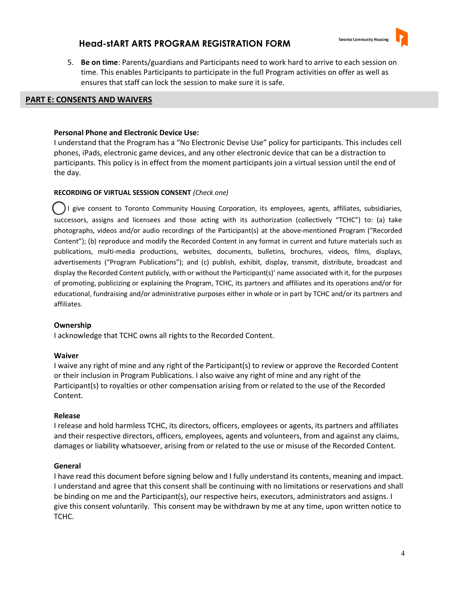

5. **Be on time**: Parents/guardians and Participants need to work hard to arrive to each session on time. This enables Participants to participate in the full Program activities on offer as well as ensures that staff can lock the session to make sure it is safe.

#### **PART E: CONSENTS AND WAIVERS**

#### **Personal Phone and Electronic Device Use:**

I understand that the Program has a "No Electronic Devise Use" policy for participants/ This includes cell phones, iPads, electronic game devices, and any other electronic device that can be a distraction to participants. This policy is in effect from the moment participants join a virtual session until the end of the day.

### **RECORDING OF VIRTUAL SESSION CONSENT** *(Check one)*

 $\left(\begin{array}{c} \end{array}\right)$ I give consent to Toronto Community Housing Corporation, its employees, agents, affiliates, subsidiaries, successors, assigns and licensees and those acting with its authorization (collectively "TCHC") to. (a) take photographs, videos and/or audio recordings of the Participant(s) at the above-mentioned Program ("Recorded Content"); (b) reproduce and modify the Recorded Content in any format in current and future materials such as publications, multi-media productions, websites, documents, bulletins, brochures, videos, films, displays, advertisements ("Program Publications"); and (c) publish, exhibit, display, transmit, distribute, broadcast and display the Recorded Content publicly, with or without the Participant(s)' name associated with it, for the purposes of promoting, publicizing or explaining the Program, TCHC, its partners and affiliates and its operations and/or for educational, fundraising and/or administrative purposes either in whole or in part by TCHC and/or its partners and affiliates.

#### **Ownership**

I acknowledge that TCHC owns all rights to the Recorded Content.

#### **Waiver**

 I waive any right of mine and any right of the Participant(s) to review or approve the Recorded Content or their inclusion in Program Publications. I also waive any right of mine and any right of the Participant(s) to royalties or other compensation arising from or related to the use of the Recorded Content.

### **Release**

 I release and hold harmless TCHC, its directors, officers, employees or agents, its partners and affiliates and their respective directors, officers, employees, agents and volunteers, from and against any claims, damages or liability whatsoever, arising from or related to the use or misuse of the Recorded Content.

## **General**

 I have read this document before signing below and I fully understand its contents, meaning and impact. I understand and agree that this consent shall be continuing with no limitations or reservations and shall be binding on me and the Participant(s), our respective heirs, executors, administrators and assigns. I give this consent voluntarily. This consent may be withdrawn by me at any time, upon written notice to TCHC.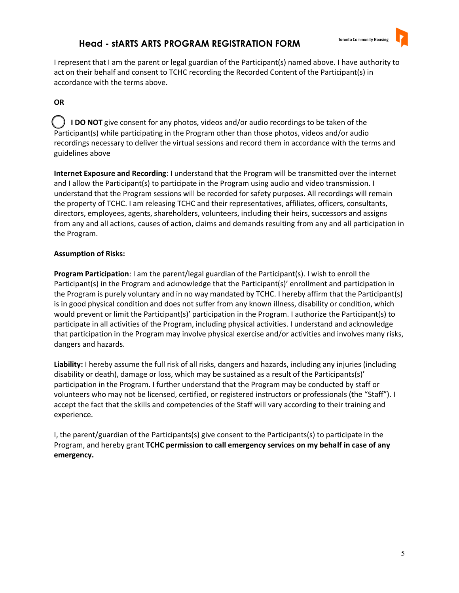

 I represent that I am the parent or legal guardian of the Participant(s) named above. I have authority to act on their behalf and consent to TCHC recording the Recorded Content of the Participant(s) in accordance with the terms above.

## **OR**

 **I DO NOT** give consent for any photos, videos and/or audio recordings to be taken of the Participant(s) while participating in the Program other than those photos, videos and/or audio recordings necessary to deliver the virtual sessions and record them in accordance with the terms and guidelines above

 **Internet Exposure and Recording**: I understand that the Program will be transmitted over the internet and I allow the Participant(s) to participate in the Program using audio and video transmission. I understand that the Program sessions will be recorded for safety purposes. All recordings will remain the property of TCHC. I am releasing TCHC and their representatives, affiliates, officers, consultants, directors, employees, agents, shareholders, volunteers, including their heirs, successors and assigns from any and all actions, causes of action, claims and demands resulting from any and all participation in the Program.

## **Assumption of Risks:**

 **Program Participation**: I am the parent/legal guardian of the Participant(s). I wish to enroll the Participant(s) in the Program and acknowledge that the Participant(s)' enrollment and participation in the Program is purely voluntary and in no way mandated by TCHC. I hereby affirm that the Participant(s) is in good physical condition and does not suffer from any known illness, disability or condition, which would prevent or limit the Participant(s)' participation in the Program. I authorize the Participant(s) to participate in all activities of the Program, including physical activities. I understand and acknowledge that participation in the Program may involve physical exercise and/or activities and involves many risks, dangers and hazards.

 **Liability:** I hereby assume the full risk of all risks, dangers and hazards, including any injuries (including disability or death), damage or loss, which may be sustained as a result of the Participants(s)' participation in the Program. I further understand that the Program may be conducted by staff or volunteers who may not be licensed, certified, or registered instructors or professionals (the "Staff"). I accept the fact that the skills and competencies of the Staff will vary according to their training and experience.

 I, the parent/guardian of the Participants(s) give consent to the Participants(s) to participate in the Program, and hereby grant **TCHC permission to call emergency services on my behalf in case of any emergency.**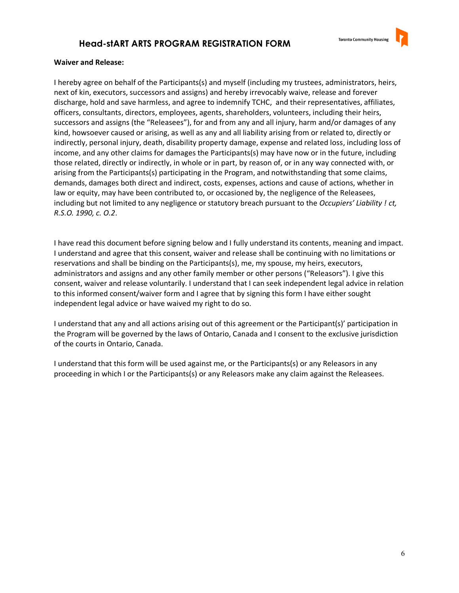

#### **Waiver and Release:**

I hereby agree on behalf of the Participants(s) and myself (including my trustees, administrators, heirs, next of kin, executors, successors and assigns) and hereby irrevocably waive, release and forever discharge, hold and save harmless, and agree to indemnify TCHC, and their representatives, affiliates, officers, consultants, directors, employees, agents, shareholders, volunteers, including their heirs, successors and assigns (the "Releasees"), for and from any and all injury, harm and/or damages of any kind, howsoever caused or arising, as well as any and all liability arising from or related to, directly or indirectly, personal injury, death, disability property damage, expense and related loss, including loss of income, and any other claims for damages the Participants(s) may have now or in the future, including those related, directly or indirectly, in whole or in part, by reason of, or in any way connected with, or arising from the Participants(s) participating in the Program, and notwithstanding that some claims, demands, damages both direct and indirect, costs, expenses, actions and cause of actions, whether in law or equity, may have been contributed to, or occasioned by, the negligence of the Releasees, including but not limited to any negligence or statutory breach pursuant to the *Occupiers' Liability ! ct, R.S.O. 1990, c. O.2*.

 I have read this document before signing below and I fully understand its contents, meaning and impact. I understand and agree that this consent, waiver and release shall be continuing with no limitations or reservations and shall be binding on the Participants(s), me, my spouse, my heirs, executors, administrators and assigns and any other family member or other persons ("Releasors"). I give this consent, waiver and release voluntarily. I understand that I can seek independent legal advice in relation to this informed consent/waiver form and I agree that by signing this form I have either sought independent legal advice or have waived my right to do so.

 I understand that any and all actions arising out of this agreement or the Participant(s)' participation in the Program will be governed by the laws of Ontario, Canada and I consent to the exclusive jurisdiction of the courts in Ontario, Canada.

 I understand that this form will be used against me, or the Participants(s) or any Releasors in any proceeding in which I or the Participants(s) or any Releasors make any claim against the Releasees.